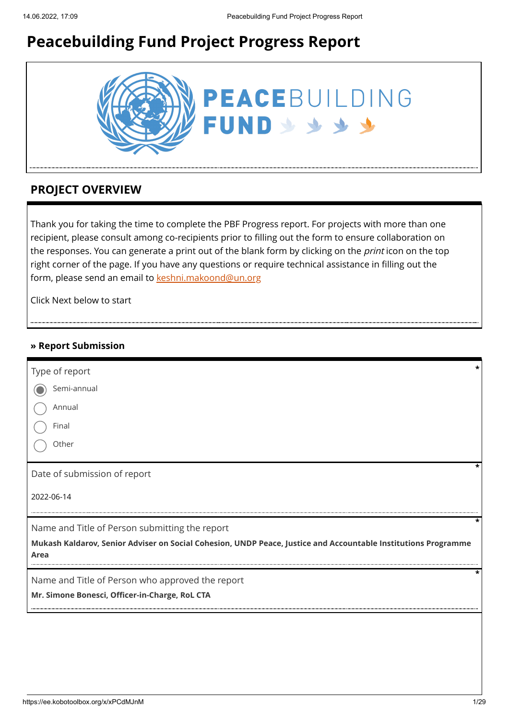# **Peacebuilding Fund Project Progress Report**



# **PROJECT OVERVIEW**

Thank you for taking the time to complete the PBF Progress report. For projects with more than one recipient, please consult among co-recipients prior to filling out the form to ensure collaboration on the responses. You can generate a print out of the blank form by clicking on the *print* icon on the top right corner of the page. If you have any questions or require technical assistance in filling out the form, please send an email to [keshni.makoond@un.org](https://ee.kobotoolbox.org/x/keshni.makoond@un.org)

Click Next below to start

#### **» Report Submission**

| Type of report                                                                                                         | * |
|------------------------------------------------------------------------------------------------------------------------|---|
| Semi-annual                                                                                                            |   |
| Annual                                                                                                                 |   |
| Final                                                                                                                  |   |
| Other                                                                                                                  |   |
| Date of submission of report                                                                                           |   |
| 2022-06-14                                                                                                             |   |
| Name and Title of Person submitting the report                                                                         |   |
| Mukash Kaldarov, Senior Adviser on Social Cohesion, UNDP Peace, Justice and Accountable Institutions Programme<br>Area |   |
| Name and Title of Person who approved the report                                                                       |   |
| Mr. Simone Bonesci, Officer-in-Charge, RoL CTA                                                                         |   |
|                                                                                                                        |   |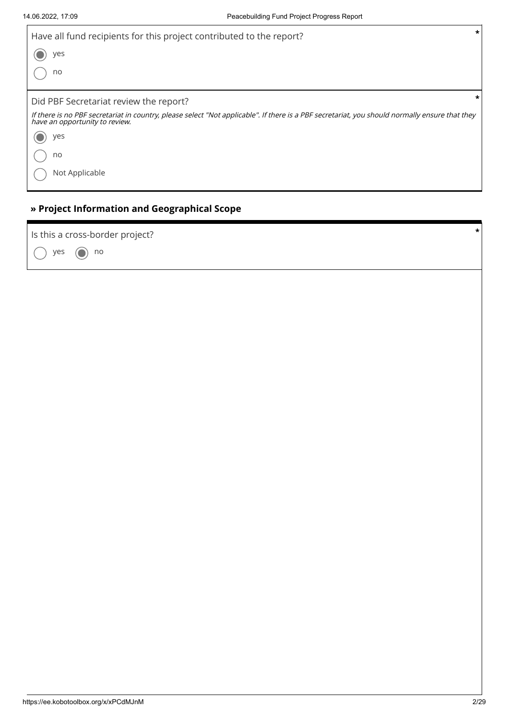$\Gamma$ 

| *<br>Have all fund recipients for this project contributed to the report?<br>yes<br>no                                                                                           |
|----------------------------------------------------------------------------------------------------------------------------------------------------------------------------------|
| *                                                                                                                                                                                |
| Did PBF Secretariat review the report?                                                                                                                                           |
| If there is no PBF secretariat in country, please select "Not applicable". If there is a PBF secretariat, you should normally ensure that they<br>have an opportunity to review. |
| yes                                                                                                                                                                              |
| no                                                                                                                                                                               |
| Not Applicable                                                                                                                                                                   |
|                                                                                                                                                                                  |

### **» Project Information and Geographical Scope**

yes  $\bigcirc$  no Is this a cross-border project? **\***

٦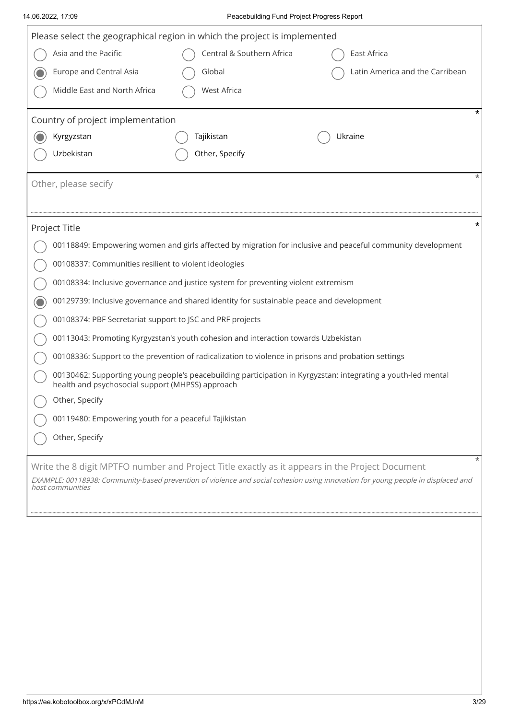#### 14.06.2022, 17:09 Peacebuilding Fund Project Progress Report

| Please select the geographical region in which the project is implemented                                                                            |                                                                                                                                                                   |                                                       |                                                                                                             |  |  |  |  |
|------------------------------------------------------------------------------------------------------------------------------------------------------|-------------------------------------------------------------------------------------------------------------------------------------------------------------------|-------------------------------------------------------|-------------------------------------------------------------------------------------------------------------|--|--|--|--|
| Asia and the Pacific                                                                                                                                 |                                                                                                                                                                   | Central & Southern Africa                             | East Africa                                                                                                 |  |  |  |  |
|                                                                                                                                                      | Europe and Central Asia                                                                                                                                           | Global                                                | Latin America and the Carribean                                                                             |  |  |  |  |
|                                                                                                                                                      | Middle East and North Africa                                                                                                                                      | <b>West Africa</b>                                    |                                                                                                             |  |  |  |  |
|                                                                                                                                                      | Country of project implementation                                                                                                                                 |                                                       |                                                                                                             |  |  |  |  |
| Kyrgyzstan                                                                                                                                           |                                                                                                                                                                   | Tajikistan                                            | Ukraine                                                                                                     |  |  |  |  |
| Uzbekistan                                                                                                                                           |                                                                                                                                                                   | Other, Specify                                        |                                                                                                             |  |  |  |  |
| Other, please secify                                                                                                                                 |                                                                                                                                                                   |                                                       |                                                                                                             |  |  |  |  |
| Project Title                                                                                                                                        |                                                                                                                                                                   |                                                       |                                                                                                             |  |  |  |  |
|                                                                                                                                                      |                                                                                                                                                                   |                                                       | 00118849: Empowering women and girls affected by migration for inclusive and peaceful community development |  |  |  |  |
|                                                                                                                                                      |                                                                                                                                                                   | 00108337: Communities resilient to violent ideologies |                                                                                                             |  |  |  |  |
|                                                                                                                                                      | 00108334: Inclusive governance and justice system for preventing violent extremism                                                                                |                                                       |                                                                                                             |  |  |  |  |
|                                                                                                                                                      | 00129739: Inclusive governance and shared identity for sustainable peace and development                                                                          |                                                       |                                                                                                             |  |  |  |  |
|                                                                                                                                                      | 00108374: PBF Secretariat support to JSC and PRF projects                                                                                                         |                                                       |                                                                                                             |  |  |  |  |
|                                                                                                                                                      | 00113043: Promoting Kyrgyzstan's youth cohesion and interaction towards Uzbekistan                                                                                |                                                       |                                                                                                             |  |  |  |  |
|                                                                                                                                                      | 00108336: Support to the prevention of radicalization to violence in prisons and probation settings                                                               |                                                       |                                                                                                             |  |  |  |  |
|                                                                                                                                                      | 00130462: Supporting young people's peacebuilding participation in Kyrgyzstan: integrating a youth-led mental<br>health and psychosocial support (MHPSS) approach |                                                       |                                                                                                             |  |  |  |  |
|                                                                                                                                                      | Other, Specify                                                                                                                                                    |                                                       |                                                                                                             |  |  |  |  |
|                                                                                                                                                      | 00119480: Empowering youth for a peaceful Tajikistan                                                                                                              |                                                       |                                                                                                             |  |  |  |  |
| Other, Specify                                                                                                                                       |                                                                                                                                                                   |                                                       |                                                                                                             |  |  |  |  |
|                                                                                                                                                      |                                                                                                                                                                   |                                                       | Write the 8 digit MPTFO number and Project Title exactly as it appears in the Project Document              |  |  |  |  |
| EXAMPLE: 00118938: Community-based prevention of violence and social cohesion using innovation for young people in displaced and<br>host communities |                                                                                                                                                                   |                                                       |                                                                                                             |  |  |  |  |
|                                                                                                                                                      |                                                                                                                                                                   |                                                       |                                                                                                             |  |  |  |  |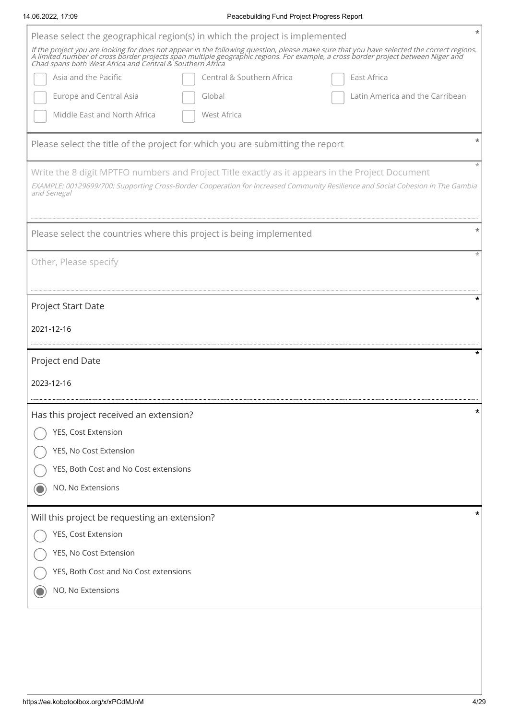| Please select the geographical region(s) in which the project is implemented                                                                                                                                                                                                                                                                 |   |
|----------------------------------------------------------------------------------------------------------------------------------------------------------------------------------------------------------------------------------------------------------------------------------------------------------------------------------------------|---|
| If the project you are looking for does not appear in the following question, please make sure that you have selected the correct regions.<br>A limited number of cross border projects span multiple geographic regions. For example, a cross border project between Niger and<br>Chad spans both West Africa and Central & Southern Africa |   |
| Asia and the Pacific<br>Central & Southern Africa<br>East Africa                                                                                                                                                                                                                                                                             |   |
| <b>Europe and Central Asia</b><br>Latin America and the Carribean<br>Global                                                                                                                                                                                                                                                                  |   |
| Middle East and North Africa<br>West Africa                                                                                                                                                                                                                                                                                                  |   |
| Please select the title of the project for which you are submitting the report                                                                                                                                                                                                                                                               |   |
| Write the 8 digit MPTFO numbers and Project Title exactly as it appears in the Project Document<br>EXAMPLE: 00129699/700: Supporting Cross-Border Cooperation for Increased Community Resilience and Social Cohesion in The Gambia<br>and Senegal                                                                                            |   |
| Please select the countries where this project is being implemented                                                                                                                                                                                                                                                                          |   |
| Other, Please specify                                                                                                                                                                                                                                                                                                                        |   |
| Project Start Date                                                                                                                                                                                                                                                                                                                           |   |
| 2021-12-16                                                                                                                                                                                                                                                                                                                                   |   |
| Project end Date                                                                                                                                                                                                                                                                                                                             |   |
| 2023-12-16                                                                                                                                                                                                                                                                                                                                   |   |
|                                                                                                                                                                                                                                                                                                                                              |   |
| Has this project received an extension?                                                                                                                                                                                                                                                                                                      | * |
| YES, Cost Extension                                                                                                                                                                                                                                                                                                                          |   |
| YES, No Cost Extension                                                                                                                                                                                                                                                                                                                       |   |
| YES, Both Cost and No Cost extensions                                                                                                                                                                                                                                                                                                        |   |
| NO, No Extensions                                                                                                                                                                                                                                                                                                                            |   |
| Will this project be requesting an extension?                                                                                                                                                                                                                                                                                                |   |
| YES, Cost Extension                                                                                                                                                                                                                                                                                                                          |   |
| YES, No Cost Extension                                                                                                                                                                                                                                                                                                                       |   |
| YES, Both Cost and No Cost extensions                                                                                                                                                                                                                                                                                                        |   |
| NO, No Extensions                                                                                                                                                                                                                                                                                                                            |   |
|                                                                                                                                                                                                                                                                                                                                              |   |

14.06.2022, 17:09 Peacebuilding Fund Project Progress Report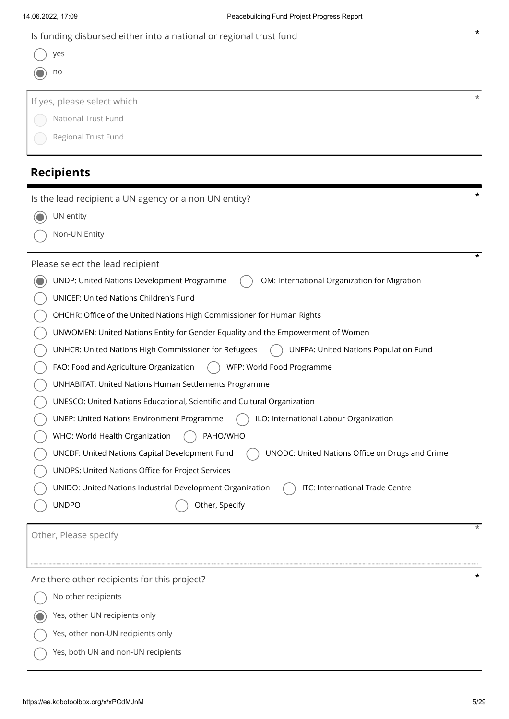$\mathbf{r}$ 

| $\star$<br>Is funding disbursed either into a national or regional trust fund |         |  |  |  |
|-------------------------------------------------------------------------------|---------|--|--|--|
| yes                                                                           |         |  |  |  |
| no                                                                            |         |  |  |  |
| If yes, please select which                                                   |         |  |  |  |
| National Trust Fund                                                           |         |  |  |  |
| Regional Trust Fund                                                           |         |  |  |  |
|                                                                               |         |  |  |  |
| <b>Recipients</b>                                                             |         |  |  |  |
| Is the lead recipient a UN agency or a non UN entity?                         | $\star$ |  |  |  |
| UN entity                                                                     |         |  |  |  |
| Non-UN Entity                                                                 |         |  |  |  |

| Please select the lead recipient                                                                         | *        |
|----------------------------------------------------------------------------------------------------------|----------|
| UNDP: United Nations Development Programme<br>IOM: International Organization for Migration              |          |
| <b>UNICEF: United Nations Children's Fund</b>                                                            |          |
| OHCHR: Office of the United Nations High Commissioner for Human Rights                                   |          |
| UNWOMEN: United Nations Entity for Gender Equality and the Empowerment of Women                          |          |
| UNHCR: United Nations High Commissioner for Refugees<br>UNFPA: United Nations Population Fund            |          |
| FAO: Food and Agriculture Organization<br>WFP: World Food Programme                                      |          |
| <b>UNHABITAT: United Nations Human Settlements Programme</b>                                             |          |
| UNESCO: United Nations Educational, Scientific and Cultural Organization                                 |          |
| ILO: International Labour Organization<br><b>UNEP: United Nations Environment Programme</b>              |          |
| WHO: World Health Organization<br>PAHO/WHO                                                               |          |
| UNODC: United Nations Office on Drugs and Crime<br><b>UNCDF: United Nations Capital Development Fund</b> |          |
| UNOPS: United Nations Office for Project Services                                                        |          |
| ITC: International Trade Centre<br>UNIDO: United Nations Industrial Development Organization             |          |
| <b>UNDPO</b><br>Other, Specify                                                                           |          |
|                                                                                                          | $^\star$ |
| Other, Please specify                                                                                    |          |
|                                                                                                          |          |
| Are there other recipients for this project?                                                             |          |
| No other recipients                                                                                      |          |
| Yes, other UN recipients only                                                                            |          |
| Yes, other non-UN recipients only                                                                        |          |
| Yes, both UN and non-UN recipients                                                                       |          |
|                                                                                                          |          |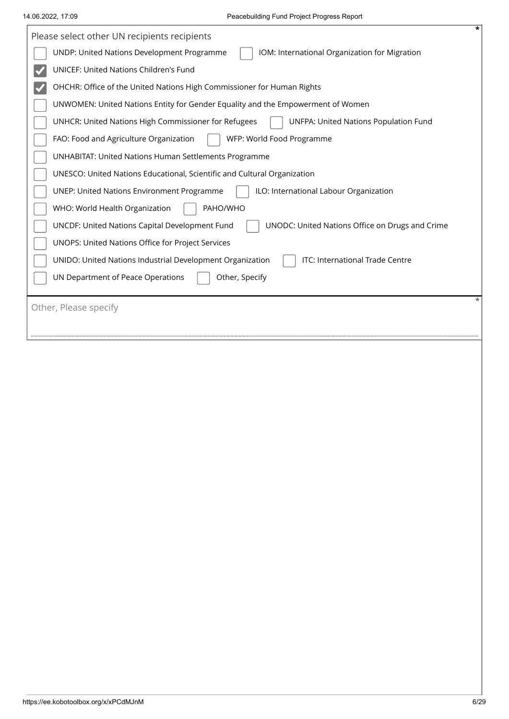| *<br>Please select other UN recipients recipients                                                 |
|---------------------------------------------------------------------------------------------------|
| UNDP: United Nations Development Programme<br>IOM: International Organization for Migration       |
| UNICEF: United Nations Children's Fund                                                            |
| OHCHR: Office of the United Nations High Commissioner for Human Rights                            |
| UNWOMEN: United Nations Entity for Gender Equality and the Empowerment of Women                   |
| UNHCR: United Nations High Commissioner for Refugees<br>UNFPA: United Nations Population Fund     |
| FAO: Food and Agriculture Organization<br>WFP: World Food Programme                               |
| UNHABITAT: United Nations Human Settlements Programme                                             |
| UNESCO: United Nations Educational, Scientific and Cultural Organization                          |
| <b>UNEP: United Nations Environment Programme</b><br>ILO: International Labour Organization       |
| WHO: World Health Organization<br>PAHO/WHO                                                        |
| UNODC: United Nations Office on Drugs and Crime<br>UNCDF: United Nations Capital Development Fund |
| UNOPS: United Nations Office for Project Services                                                 |
| ITC: International Trade Centre<br>UNIDO: United Nations Industrial Development Organization      |
| UN Department of Peace Operations<br>Other, Specify                                               |
|                                                                                                   |
| Other, Please specify                                                                             |
|                                                                                                   |
|                                                                                                   |
|                                                                                                   |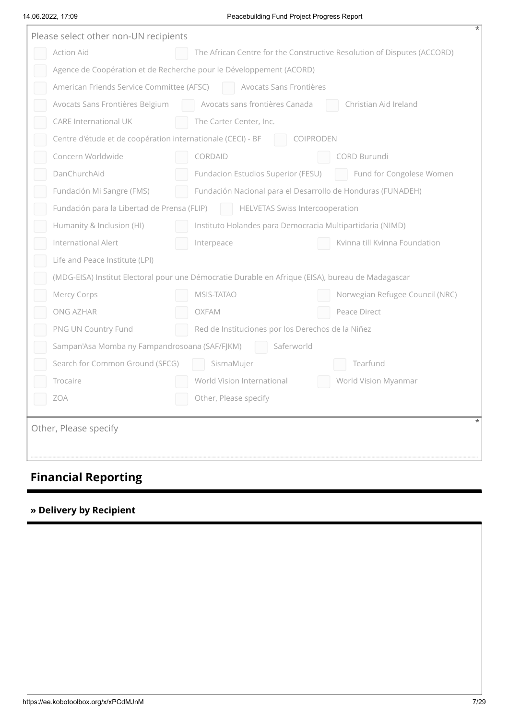#### 14.06.2022, 17:09 Peacebuilding Fund Project Progress Report

| Please select other non-UN recipients |                                                                     |                                                                                                   |                                                                         |  |  |  |  |
|---------------------------------------|---------------------------------------------------------------------|---------------------------------------------------------------------------------------------------|-------------------------------------------------------------------------|--|--|--|--|
|                                       | Action Aid                                                          |                                                                                                   | The African Centre for the Constructive Resolution of Disputes (ACCORD) |  |  |  |  |
|                                       | Agence de Coopération et de Recherche pour le Développement (ACORD) |                                                                                                   |                                                                         |  |  |  |  |
|                                       | American Friends Service Committee (AFSC)                           | Avocats Sans Frontières                                                                           |                                                                         |  |  |  |  |
|                                       | Avocats Sans Frontières Belgium                                     | Avocats sans frontières Canada                                                                    | Christian Aid Ireland                                                   |  |  |  |  |
|                                       | <b>CARE International UK</b>                                        | The Carter Center, Inc.                                                                           |                                                                         |  |  |  |  |
|                                       | Centre d'étude et de coopération internationale (CECI) - BF         |                                                                                                   | COIPRODEN                                                               |  |  |  |  |
|                                       | Concern Worldwide                                                   | CORDAID                                                                                           | CORD Burundi                                                            |  |  |  |  |
|                                       | DanChurchAid                                                        | Fundacion Estudios Superior (FESU)                                                                | Fund for Congolese Women                                                |  |  |  |  |
|                                       | Fundación Mi Sangre (FMS)                                           | Fundación Nacional para el Desarrollo de Honduras (FUNADEH)                                       |                                                                         |  |  |  |  |
|                                       | Fundación para la Libertad de Prensa (FLIP)                         | <b>HELVETAS Swiss Intercooperation</b>                                                            |                                                                         |  |  |  |  |
|                                       | Humanity & Inclusion (HI)                                           | Instituto Holandes para Democracia Multipartidaria (NIMD)                                         |                                                                         |  |  |  |  |
|                                       | International Alert                                                 | Interpeace                                                                                        | Kvinna till Kvinna Foundation                                           |  |  |  |  |
|                                       | Life and Peace Institute (LPI)                                      |                                                                                                   |                                                                         |  |  |  |  |
|                                       |                                                                     | (MDG-EISA) Institut Electoral pour une Démocratie Durable en Afrique (EISA), bureau de Madagascar |                                                                         |  |  |  |  |
|                                       | Mercy Corps                                                         | MSIS-TATAO                                                                                        | Norwegian Refugee Council (NRC)                                         |  |  |  |  |
|                                       | ONG AZHAR                                                           | OXFAM                                                                                             | Peace Direct                                                            |  |  |  |  |
|                                       | PNG UN Country Fund                                                 | Red de Instituciones por los Derechos de la Niñez                                                 |                                                                         |  |  |  |  |
|                                       | Sampan'Asa Momba ny Fampandrosoana (SAF/FJKM)                       | Saferworld                                                                                        |                                                                         |  |  |  |  |
|                                       | Search for Common Ground (SFCG)                                     | SismaMujer                                                                                        | Tearfund                                                                |  |  |  |  |
|                                       | Trocaire                                                            | World Vision International                                                                        | World Vision Myanmar                                                    |  |  |  |  |
|                                       | <b>ZOA</b>                                                          | Other, Please specify                                                                             |                                                                         |  |  |  |  |
|                                       | Other, Please specify                                               |                                                                                                   | $^\ast$                                                                 |  |  |  |  |

# **Financial Reporting**

### **» Delivery by Recipient**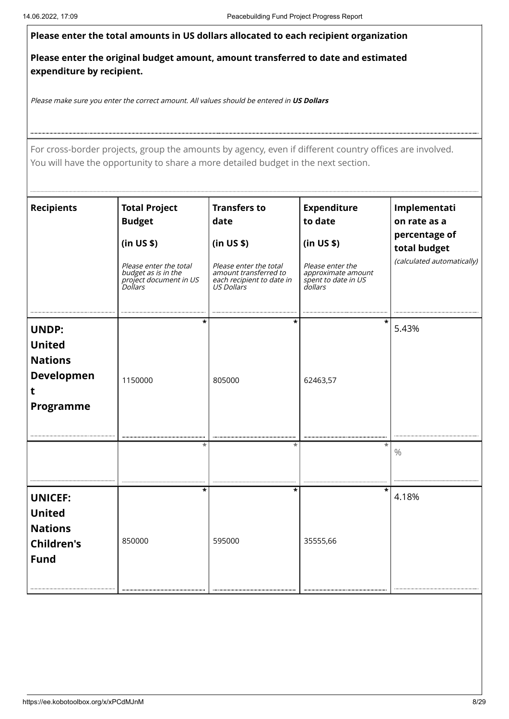| Please enter the total amounts in US dollars allocated to each recipient organization<br>Please enter the original budget amount, amount transferred to date and estimated<br>expenditure by recipient.<br>Please make sure you enter the correct amount. All values should be entered in US Dollars<br>For cross-border projects, group the amounts by agency, even if different country offices are involved.<br>You will have the opportunity to share a more detailed budget in the next section. |                                                                                             |
|-------------------------------------------------------------------------------------------------------------------------------------------------------------------------------------------------------------------------------------------------------------------------------------------------------------------------------------------------------------------------------------------------------------------------------------------------------------------------------------------------------|---------------------------------------------------------------------------------------------|
|                                                                                                                                                                                                                                                                                                                                                                                                                                                                                                       |                                                                                             |
|                                                                                                                                                                                                                                                                                                                                                                                                                                                                                                       |                                                                                             |
|                                                                                                                                                                                                                                                                                                                                                                                                                                                                                                       |                                                                                             |
|                                                                                                                                                                                                                                                                                                                                                                                                                                                                                                       |                                                                                             |
| Recipients<br><b>Expenditure</b><br><b>Total Project</b><br><b>Transfers to</b><br><b>Budget</b><br>date<br>to date<br>$\sin US\$<br>(in US \$)<br>(in US \$)<br>Please enter the total<br><i>Please enter the<br/>approximate amount<br/>spent to date in US<br/>dollars</i><br>Please enter the total<br>amount transferred to<br>each recipient to date in<br>US Dollars<br>budget as is in the<br>budget as is in the<br>project document in US<br>Dollars                                        | Implementati<br>on rate as a<br>percentage of<br>total budget<br>(calculated automatically) |
| UNDP:<br><b>United</b><br><b>Nations</b><br>Developmen<br>1150000<br>62463,57<br>805000<br>Programme                                                                                                                                                                                                                                                                                                                                                                                                  | 5.43%                                                                                       |
| $\frac{1}{4.18\%}$<br>UNICEF:                                                                                                                                                                                                                                                                                                                                                                                                                                                                         |                                                                                             |
| <b>United</b><br><b>Nations</b><br>850000<br>595000<br>35555,66<br><b>Children's</b><br><b>Fund</b>                                                                                                                                                                                                                                                                                                                                                                                                   |                                                                                             |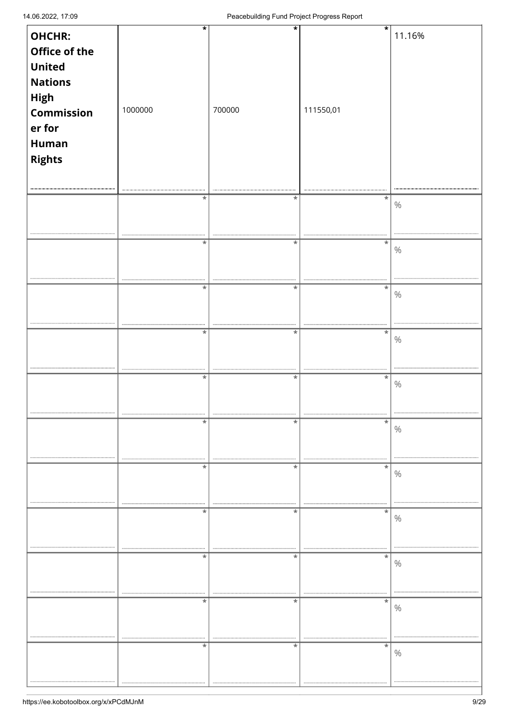| OHCHR:                                                                                                     | *          | $\star$    | $\star$     | 11.16%   |
|------------------------------------------------------------------------------------------------------------|------------|------------|-------------|----------|
| Office of the<br><b>United</b><br><b>Nations</b><br>High<br>Commission<br>er for<br><b>Human</b><br>Rights | 1000000    | 700000     | 111550,01   |          |
|                                                                                                            | $\ast$     | $\ast$     | $\star$     | $\%$     |
|                                                                                                            | $^\star$   | $^\ast$    | $\ast$      | $\%$     |
|                                                                                                            | $\ast$     | $\ast$     | $\ast$      | $\%$     |
|                                                                                                            | <br>$\ast$ | $\ast$     | $\star$     | $\%$     |
|                                                                                                            | $\ast$     | $\ast$     | $\star$     | $\%$     |
|                                                                                                            | *          | $^\star$   | $\ast$      | <br>$\%$ |
|                                                                                                            | $\ast$     | $\ast$     | $\ast$      | $\%$     |
|                                                                                                            | <br>*      | <br>$\ast$ | <br>$\star$ | $\%$     |
|                                                                                                            | *          | $^\ast$    | $\ast$      | $\%$     |
|                                                                                                            | $^\ast$    | $^\ast$    | $\ast$      | $\%$     |
|                                                                                                            | $^\ast$    | $^\ast$    | $\ast$      | $\%$     |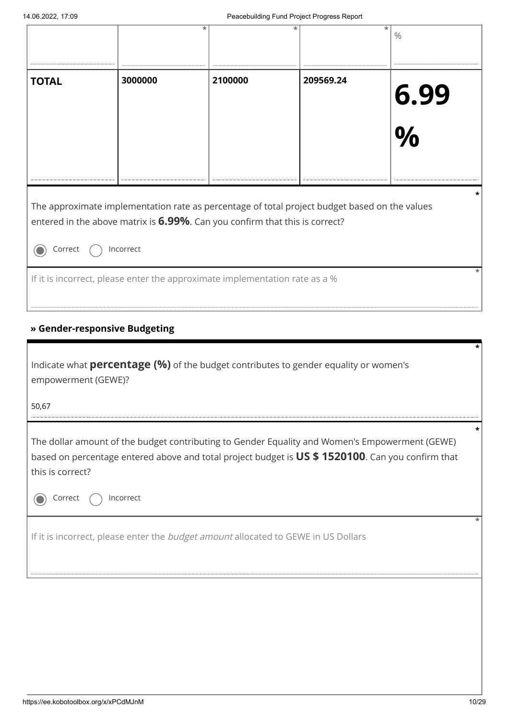|                                       |                               | *                                                                                                                                                                            | *         | *<br>$\%$                                                                                                                                                                                          |
|---------------------------------------|-------------------------------|------------------------------------------------------------------------------------------------------------------------------------------------------------------------------|-----------|----------------------------------------------------------------------------------------------------------------------------------------------------------------------------------------------------|
| <b>TOTAL</b>                          | 3000000                       | 2100000                                                                                                                                                                      | 209569.24 | <b>6.99</b><br>%                                                                                                                                                                                   |
|                                       |                               |                                                                                                                                                                              |           |                                                                                                                                                                                                    |
| Correct                               | Incorrect                     | The approximate implementation rate as percentage of total project budget based on the values<br>entered in the above matrix is 6.99%. Can you confirm that this is correct? |           |                                                                                                                                                                                                    |
|                                       |                               | If it is incorrect, please enter the approximate implementation rate as a %                                                                                                  |           |                                                                                                                                                                                                    |
|                                       | » Gender-responsive Budgeting |                                                                                                                                                                              |           |                                                                                                                                                                                                    |
| empowerment (GEWE)?<br>50,67          |                               | Indicate what <b>percentage (%)</b> of the budget contributes to gender equality or women's                                                                                  |           |                                                                                                                                                                                                    |
| this is correct?                      |                               |                                                                                                                                                                              |           | The dollar amount of the budget contributing to Gender Equality and Women's Empowerment (GEWE)<br>based on percentage entered above and total project budget is US \$1520100. Can you confirm that |
| Correct                               | Incorrect                     |                                                                                                                                                                              |           |                                                                                                                                                                                                    |
|                                       |                               | If it is incorrect, please enter the budget amount allocated to GEWE in US Dollars                                                                                           |           |                                                                                                                                                                                                    |
|                                       |                               |                                                                                                                                                                              |           |                                                                                                                                                                                                    |
|                                       |                               |                                                                                                                                                                              |           |                                                                                                                                                                                                    |
|                                       |                               |                                                                                                                                                                              |           |                                                                                                                                                                                                    |
| https://ee.kobotoolbox.org/x/xPCdMJnM |                               |                                                                                                                                                                              |           | 10/29                                                                                                                                                                                              |

# **» Gender-responsive Budgeting**

| Indicate what <b>percentage (%)</b> of the budget contributes to gender equality or women's<br>empowerment (GEWE)?                                                                                                     |  |  |  |  |
|------------------------------------------------------------------------------------------------------------------------------------------------------------------------------------------------------------------------|--|--|--|--|
| 50,67                                                                                                                                                                                                                  |  |  |  |  |
| The dollar amount of the budget contributing to Gender Equality and Women's Empowerment (GEWE)<br>based on percentage entered above and total project budget is US \$1520100. Can you confirm that<br>this is correct? |  |  |  |  |
| Incorrect<br>Correct                                                                                                                                                                                                   |  |  |  |  |
| If it is incorrect, please enter the <i>budget amount</i> allocated to GEWE in US Dollars                                                                                                                              |  |  |  |  |
|                                                                                                                                                                                                                        |  |  |  |  |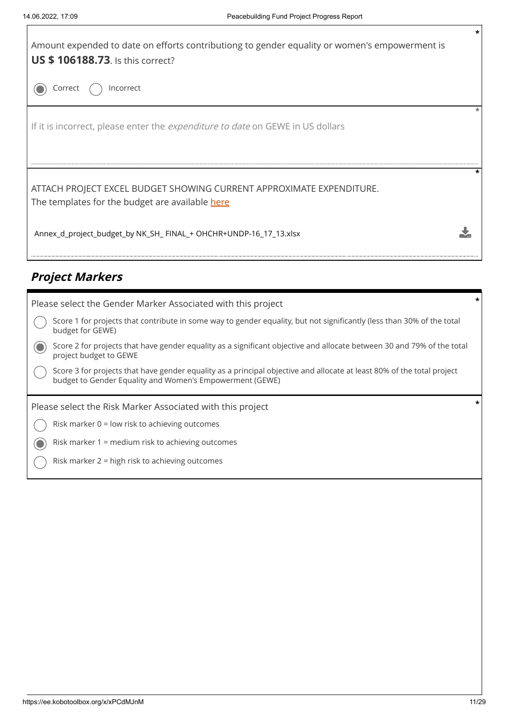

# **Project Markers**

| Please select the Gender Marker Associated with this project                                                                                                                       | * |
|------------------------------------------------------------------------------------------------------------------------------------------------------------------------------------|---|
| Score 1 for projects that contribute in some way to gender equality, but not significantly (less than 30% of the total<br>budget for GEWE)                                         |   |
| Score 2 for projects that have gender equality as a significant objective and allocate between 30 and 79% of the total<br>project budget to GEWE                                   |   |
| Score 3 for projects that have gender equality as a principal objective and allocate at least 80% of the total project<br>budget to Gender Equality and Women's Empowerment (GEWE) |   |
|                                                                                                                                                                                    |   |
| Please select the Risk Marker Associated with this project                                                                                                                         |   |
| Risk marker $0 =$ low risk to achieving outcomes                                                                                                                                   |   |
| Risk marker 1 = medium risk to achieving outcomes                                                                                                                                  |   |
| Risk marker 2 = high risk to achieving outcomes                                                                                                                                    |   |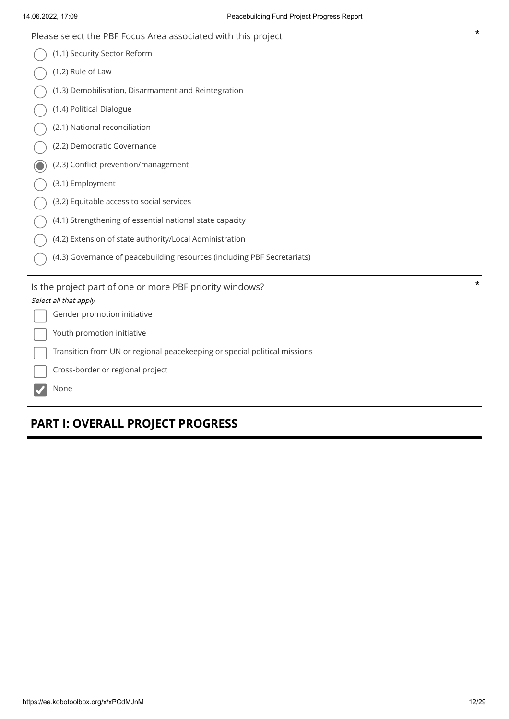| Please select the PBF Focus Area associated with this project                     | $\ast$ |
|-----------------------------------------------------------------------------------|--------|
| (1.1) Security Sector Reform                                                      |        |
| (1.2) Rule of Law                                                                 |        |
| (1.3) Demobilisation, Disarmament and Reintegration                               |        |
| (1.4) Political Dialogue                                                          |        |
| (2.1) National reconciliation                                                     |        |
| (2.2) Democratic Governance                                                       |        |
| (2.3) Conflict prevention/management                                              |        |
| (3.1) Employment                                                                  |        |
| (3.2) Equitable access to social services                                         |        |
| (4.1) Strengthening of essential national state capacity                          |        |
| (4.2) Extension of state authority/Local Administration                           |        |
| (4.3) Governance of peacebuilding resources (including PBF Secretariats)          |        |
| Is the project part of one or more PBF priority windows?<br>Select all that apply | *      |
| Gender promotion initiative                                                       |        |
| Youth promotion initiative                                                        |        |
| Transition from UN or regional peacekeeping or special political missions         |        |
| Cross-border or regional project                                                  |        |
| None                                                                              |        |

# **PART I: OVERALL PROJECT PROGRESS**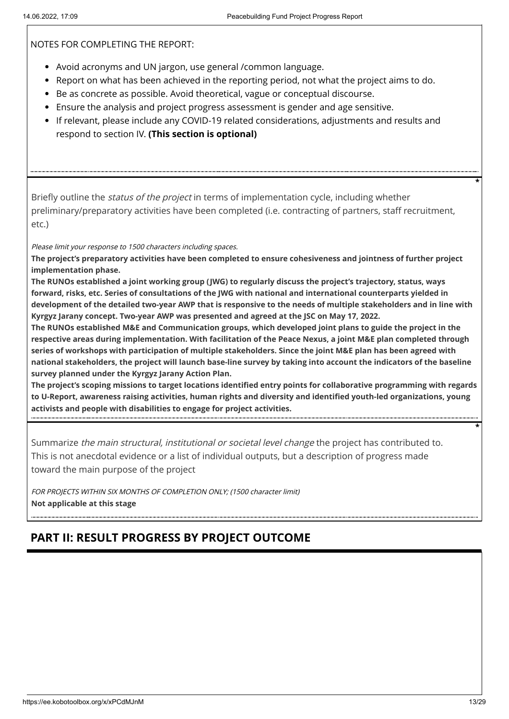NOTES FOR COMPLETING THE REPORT:

- Avoid acronyms and UN jargon, use general /common language.
- Report on what has been achieved in the reporting period, not what the project aims to do.
- Be as concrete as possible. Avoid theoretical, vague or conceptual discourse.
- Ensure the analysis and project progress assessment is gender and age sensitive.
- If relevant, please include any COVID-19 related considerations, adjustments and results and respond to section IV. **(This section is optional)**

Briefly outline the *status of the project* in terms of implementation cycle, including whether preliminary/preparatory activities have been completed (i.e. contracting of partners, staff recruitment, etc.)

Please limit your response to 1500 characters including spaces.

**The project's preparatory activities have been completed to ensure cohesiveness and jointness of further project implementation phase.** 

**The RUNOs established a joint working group (JWG) to regularly discuss the project's trajectory, status, ways forward, risks, etc. Series of consultations of the JWG with national and international counterparts yielded in development of the detailed two-year AWP that is responsive to the needs of multiple stakeholders and in line with Kyrgyz Jarany concept. Two-year AWP was presented and agreed at the JSC on May 17, 2022.** 

**The RUNOs established M&E and Communication groups, which developed joint plans to guide the project in the respective areas during implementation. With facilitation of the Peace Nexus, a joint M&E plan completed through series of workshops with participation of multiple stakeholders. Since the joint M&E plan has been agreed with national stakeholders, the project will launch base-line survey by taking into account the indicators of the baseline survey planned under the Kyrgyz Jarany Action Plan.** 

**The project's scoping missions to target locations identified entry points for collaborative programming with regards to U-Report, awareness raising activities, human rights and diversity and identified youth-led organizations, young activists and people with disabilities to engage for project activities.**

Summarize the main structural, institutional or societal level change the project has contributed to. This is not anecdotal evidence or a list of individual outputs, but a description of progress made toward the main purpose of the project

FOR PROJECTS WITHIN SIX MONTHS OF COMPLETION ONLY; (1500 character limit) **Not applicable at this stage**

# **PART II: RESULT PROGRESS BY PROJECT OUTCOME**

**\***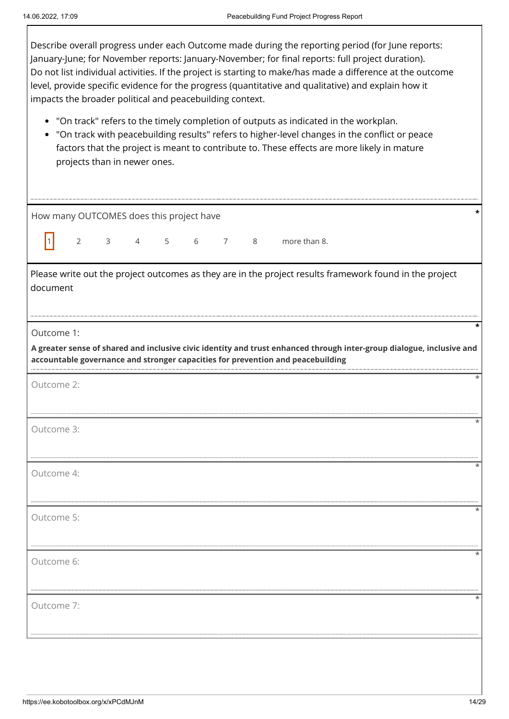$\Gamma$ 

| Describe overall progress under each Outcome made during the reporting period (for June reports:<br>January-June; for November reports: January-November; for final reports: full project duration).<br>Do not list individual activities. If the project is starting to make/has made a difference at the outcome<br>level, provide specific evidence for the progress (quantitative and qualitative) and explain how it<br>impacts the broader political and peacebuilding context.<br>• "On track" refers to the timely completion of outputs as indicated in the workplan.<br>"On track with peacebuilding results" refers to higher-level changes in the conflict or peace<br>factors that the project is meant to contribute to. These effects are more likely in mature<br>projects than in newer ones. |  |  |  |  |  |  |  |
|----------------------------------------------------------------------------------------------------------------------------------------------------------------------------------------------------------------------------------------------------------------------------------------------------------------------------------------------------------------------------------------------------------------------------------------------------------------------------------------------------------------------------------------------------------------------------------------------------------------------------------------------------------------------------------------------------------------------------------------------------------------------------------------------------------------|--|--|--|--|--|--|--|
| How many OUTCOMES does this project have                                                                                                                                                                                                                                                                                                                                                                                                                                                                                                                                                                                                                                                                                                                                                                       |  |  |  |  |  |  |  |
| 4 5<br>$\overline{\mathbf{3}}$<br>6<br>more than 8.<br>$\overline{2}$<br>$\overline{7}$<br>8                                                                                                                                                                                                                                                                                                                                                                                                                                                                                                                                                                                                                                                                                                                   |  |  |  |  |  |  |  |
| Please write out the project outcomes as they are in the project results framework found in the project<br>document                                                                                                                                                                                                                                                                                                                                                                                                                                                                                                                                                                                                                                                                                            |  |  |  |  |  |  |  |
| Outcome 1:                                                                                                                                                                                                                                                                                                                                                                                                                                                                                                                                                                                                                                                                                                                                                                                                     |  |  |  |  |  |  |  |
| A greater sense of shared and inclusive civic identity and trust enhanced through inter-group dialogue, inclusive and<br>accountable governance and stronger capacities for prevention and peacebuilding                                                                                                                                                                                                                                                                                                                                                                                                                                                                                                                                                                                                       |  |  |  |  |  |  |  |
| Outcome 2:                                                                                                                                                                                                                                                                                                                                                                                                                                                                                                                                                                                                                                                                                                                                                                                                     |  |  |  |  |  |  |  |
| Outcome 3:                                                                                                                                                                                                                                                                                                                                                                                                                                                                                                                                                                                                                                                                                                                                                                                                     |  |  |  |  |  |  |  |
| Outcome 4:                                                                                                                                                                                                                                                                                                                                                                                                                                                                                                                                                                                                                                                                                                                                                                                                     |  |  |  |  |  |  |  |
| Outcome 5:                                                                                                                                                                                                                                                                                                                                                                                                                                                                                                                                                                                                                                                                                                                                                                                                     |  |  |  |  |  |  |  |
| Outcome 6:                                                                                                                                                                                                                                                                                                                                                                                                                                                                                                                                                                                                                                                                                                                                                                                                     |  |  |  |  |  |  |  |
| Outcome 7:                                                                                                                                                                                                                                                                                                                                                                                                                                                                                                                                                                                                                                                                                                                                                                                                     |  |  |  |  |  |  |  |
|                                                                                                                                                                                                                                                                                                                                                                                                                                                                                                                                                                                                                                                                                                                                                                                                                |  |  |  |  |  |  |  |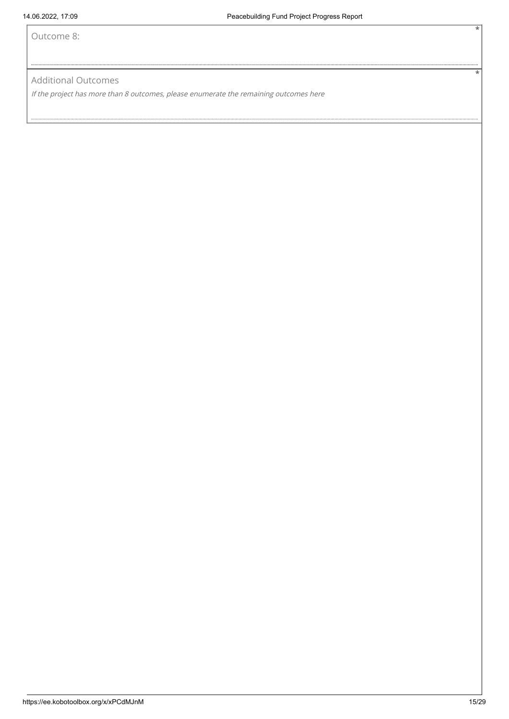Outcome 8:

#### Additional Outcomes

If the project has more than 8 outcomes, please enumerate the remaining outcomes here

**\***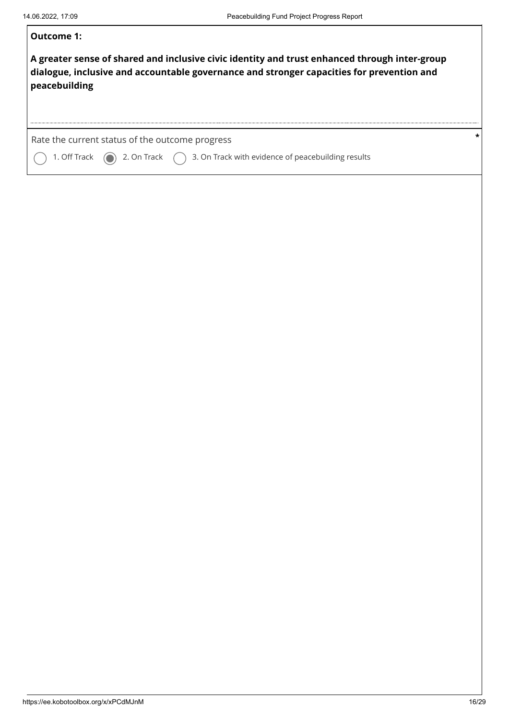| Outcome 1:                                                                                                                                                                                                  |  |
|-------------------------------------------------------------------------------------------------------------------------------------------------------------------------------------------------------------|--|
| A greater sense of shared and inclusive civic identity and trust enhanced through inter-group<br>dialogue, inclusive and accountable governance and stronger capacities for prevention and<br>peacebuilding |  |
| Rate the current status of the outcome progress<br>1. Off Track $\qquad$ 2. On Track $\qquad$ 3. On Track with evidence of peacebuilding results                                                            |  |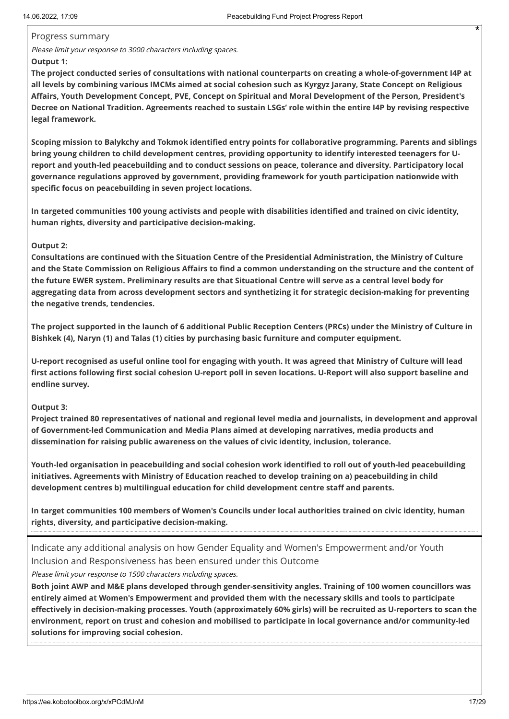#### Progress summary

Please limit your response to 3000 characters including spaces.

#### **Output 1:**

**The project conducted series of consultations with national counterparts on creating a whole-of-government I4P at all levels by combining various IMCMs aimed at social cohesion such as Kyrgyz Jarany, State Concept on Religious Affairs, Youth Development Concept, PVE, Concept on Spiritual and Moral Development of the Person, President's Decree on National Tradition. Agreements reached to sustain LSGs' role within the entire I4P by revising respective legal framework.** 

**Scoping mission to Balykchy and Tokmok identified entry points for collaborative programming. Parents and siblings bring young children to child development centres, providing opportunity to identify interested teenagers for Ureport and youth-led peacebuilding and to conduct sessions on peace, tolerance and diversity. Participatory local governance regulations approved by government, providing framework for youth participation nationwide with specific focus on peacebuilding in seven project locations.** 

**In targeted communities 100 young activists and people with disabilities identified and trained on civic identity, human rights, diversity and participative decision-making.** 

#### **Output 2:**

**Consultations are continued with the Situation Centre of the Presidential Administration, the Ministry of Culture and the State Commission on Religious Affairs to find a common understanding on the structure and the content of the future EWER system. Preliminary results are that Situational Centre will serve as a central level body for aggregating data from across development sectors and synthetizing it for strategic decision-making for preventing the negative trends, tendencies.** 

**The project supported in the launch of 6 additional Public Reception Centers (PRCs) under the Ministry of Culture in Bishkek (4), Naryn (1) and Talas (1) cities by purchasing basic furniture and computer equipment.** 

**U-report recognised as useful online tool for engaging with youth. It was agreed that Ministry of Culture will lead first actions following first social cohesion U-report poll in seven locations. U-Report will also support baseline and endline survey.**

#### **Output 3:**

**Project trained 80 representatives of national and regional level media and journalists, in development and approval of Government-led Communication and Media Plans aimed at developing narratives, media products and dissemination for raising public awareness on the values of civic identity, inclusion, tolerance.** 

**Youth-led organisation in peacebuilding and social cohesion work identified to roll out of youth-led peacebuilding initiatives. Agreements with Ministry of Education reached to develop training on a) peacebuilding in child development centres b) multilingual education for child development centre staff and parents.** 

**In target communities 100 members of Women's Councils under local authorities trained on civic identity, human rights, diversity, and participative decision-making.**

Indicate any additional analysis on how Gender Equality and Women's Empowerment and/or Youth Inclusion and Responsiveness has been ensured under this Outcome

Please limit your response to 1500 characters including spaces.

**Both joint AWP and M&E plans developed through gender-sensitivity angles. Training of 100 women councillors was entirely aimed at Women's Empowerment and provided them with the necessary skills and tools to participate effectively in decision-making processes. Youth (approximately 60% girls) will be recruited as U-reporters to scan the environment, report on trust and cohesion and mobilised to participate in local governance and/or community-led solutions for improving social cohesion.**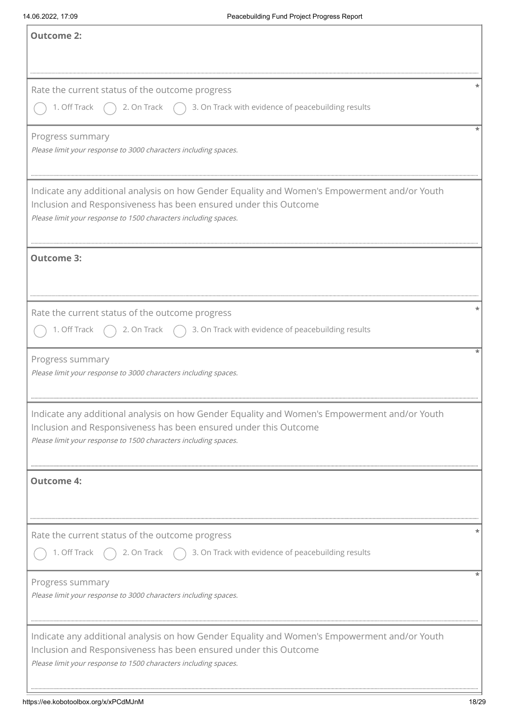| <b>Outcome 2:</b>                                                                                                                                                                                                                   |
|-------------------------------------------------------------------------------------------------------------------------------------------------------------------------------------------------------------------------------------|
| Rate the current status of the outcome progress<br>2. On Track $\bigcap$ 3. On Track with evidence of peacebuilding results<br>1. Off Track                                                                                         |
| Progress summary<br>Please limit your response to 3000 characters including spaces.                                                                                                                                                 |
| Indicate any additional analysis on how Gender Equality and Women's Empowerment and/or Youth<br>Inclusion and Responsiveness has been ensured under this Outcome<br>Please limit your response to 1500 characters including spaces. |
| <b>Outcome 3:</b>                                                                                                                                                                                                                   |
| Rate the current status of the outcome progress<br>2. On Track $\bigcap$ 3. On Track with evidence of peacebuilding results<br>1. Off Track                                                                                         |
| Progress summary<br>Please limit your response to 3000 characters including spaces.                                                                                                                                                 |
| Indicate any additional analysis on how Gender Equality and Women's Empowerment and/or Youth<br>Inclusion and Responsiveness has been ensured under this Outcome<br>Please limit your response to 1500 characters including spaces. |
| <b>Outcome 4:</b>                                                                                                                                                                                                                   |
| Rate the current status of the outcome progress<br>1. Off Track<br>2. On Track $\bigcap$ 3. On Track with evidence of peacebuilding results                                                                                         |
| Progress summary<br>Please limit your response to 3000 characters including spaces.                                                                                                                                                 |
| Indicate any additional analysis on how Gender Equality and Women's Empowerment and/or Youth<br>Inclusion and Responsiveness has been ensured under this Outcome<br>Please limit your response to 1500 characters including spaces. |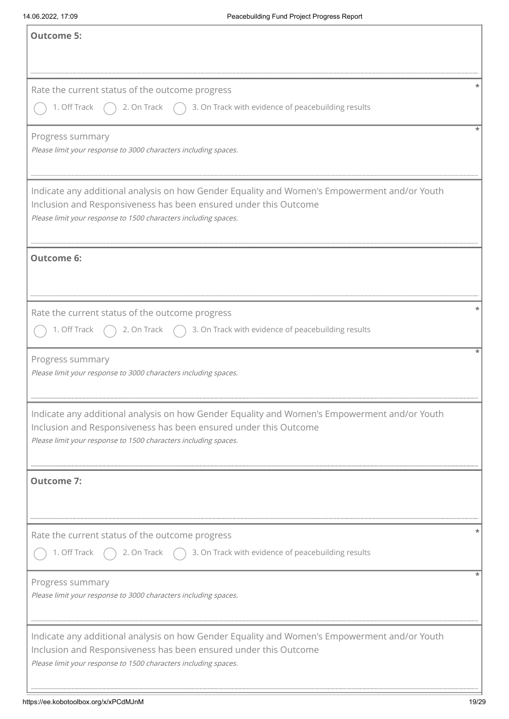| <b>Outcome 5:</b>                                                                                                                                                                                                                   |
|-------------------------------------------------------------------------------------------------------------------------------------------------------------------------------------------------------------------------------------|
| Rate the current status of the outcome progress<br>2. On Track $\bigcap$ 3. On Track with evidence of peacebuilding results<br>1. Off Track                                                                                         |
| Progress summary<br>Please limit your response to 3000 characters including spaces.                                                                                                                                                 |
| Indicate any additional analysis on how Gender Equality and Women's Empowerment and/or Youth<br>Inclusion and Responsiveness has been ensured under this Outcome<br>Please limit your response to 1500 characters including spaces. |
| <b>Outcome 6:</b>                                                                                                                                                                                                                   |
| Rate the current status of the outcome progress<br>$\bigcap$ 3. On Track with evidence of peacebuilding results<br>1. Off Track<br>2. On Track                                                                                      |
| Progress summary<br>Please limit your response to 3000 characters including spaces.                                                                                                                                                 |
| Indicate any additional analysis on how Gender Equality and Women's Empowerment and/or Youth<br>Inclusion and Responsiveness has been ensured under this Outcome<br>Please limit your response to 1500 characters including spaces. |
| <b>Outcome 7:</b>                                                                                                                                                                                                                   |
| Rate the current status of the outcome progress<br>1. Off Track<br>2. On Track $\bigcap$ 3. On Track with evidence of peacebuilding results                                                                                         |
| Progress summary<br>Please limit your response to 3000 characters including spaces.                                                                                                                                                 |
| Indicate any additional analysis on how Gender Equality and Women's Empowerment and/or Youth<br>Inclusion and Responsiveness has been ensured under this Outcome<br>Please limit your response to 1500 characters including spaces. |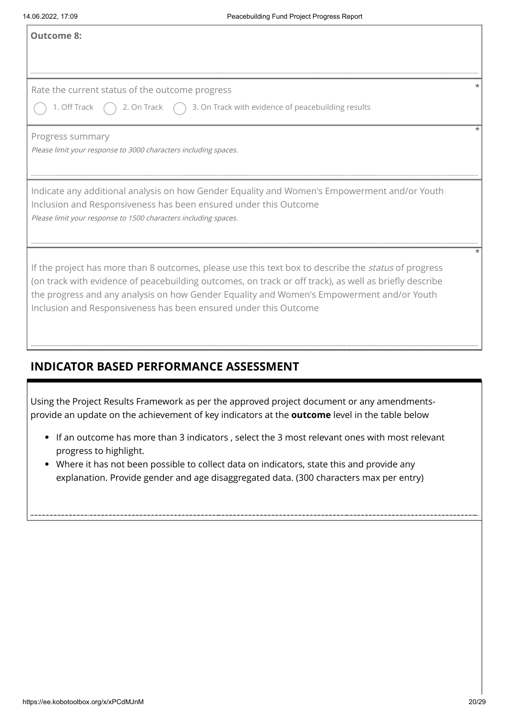# **INDICATOR BASED PERFORMANCE ASSESSMENT**

- If an outcome has more than 3 indicators , select the 3 most relevant ones with most relevant progress to highlight.
- Where it has not been possible to collect data on indicators, state this and provide any explanation. Provide gender and age disaggregated data. (300 characters max per entry)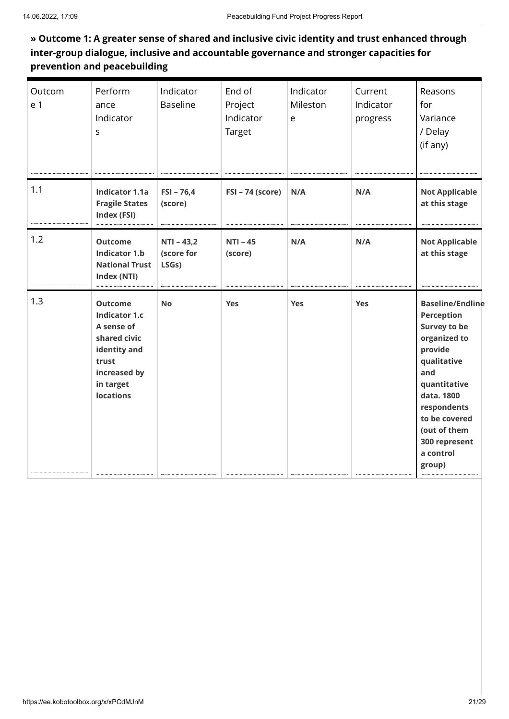# **» Outcome 1: A greater sense of shared and inclusive civic identity and trust enhanced through inter-group dialogue, inclusive and accountable governance and stronger capacities for prevention and peacebuilding**

| Outcom<br>e 1 | Perform<br>ance<br>Indicator<br>S                                                                                                              | Indicator<br><b>Baseline</b>        | End of<br>Project<br>Indicator<br>Target | Indicator<br>Mileston<br>$\mathsf{e}$ | Current<br>Indicator<br>progress | Reasons<br>for<br>Variance<br>/ Delay<br>(if any)                                                                                                                                                                                   |
|---------------|------------------------------------------------------------------------------------------------------------------------------------------------|-------------------------------------|------------------------------------------|---------------------------------------|----------------------------------|-------------------------------------------------------------------------------------------------------------------------------------------------------------------------------------------------------------------------------------|
| 1.1           | <b>Indicator 1.1a</b><br><b>Fragile States</b><br>Index (FSI)                                                                                  | $FSI - 76,4$<br>(score)             | FSI - 74 (score)                         | N/A                                   | N/A                              | <b>Not Applicable</b><br>at this stage                                                                                                                                                                                              |
| 1.2           | <b>Outcome</b><br><b>Indicator 1.b</b><br><b>National Trust</b><br>Index (NTI)                                                                 | $NTI - 43,2$<br>(score for<br>LSGs) | $NTI - 45$<br>(score)                    | N/A                                   | N/A                              | <b>Not Applicable</b><br>at this stage                                                                                                                                                                                              |
| 1.3           | <b>Outcome</b><br><b>Indicator 1.c</b><br>A sense of<br>shared civic<br>identity and<br>trust<br>increased by<br>in target<br><b>locations</b> | <b>No</b>                           | Yes                                      | Yes                                   | Yes                              | <b>Baseline/Endline</b><br>Perception<br><b>Survey to be</b><br>organized to<br>provide<br>qualitative<br>and<br>quantitative<br>data. 1800<br>respondents<br>to be covered<br>(out of them<br>300 represent<br>a control<br>group) |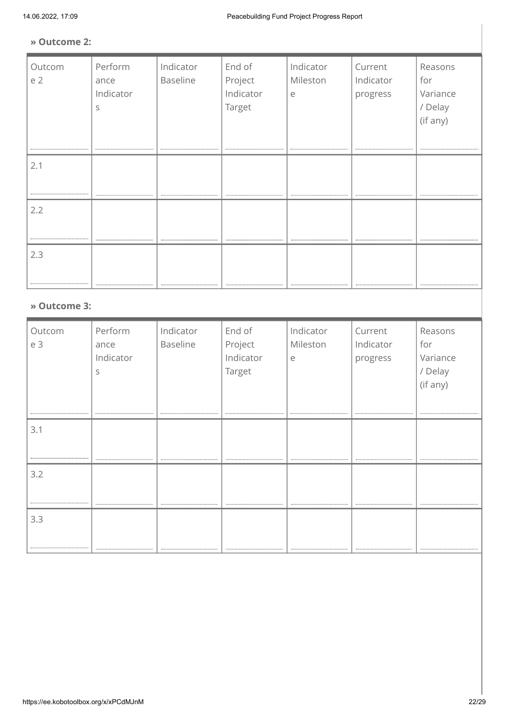#### **» Outcome 2:**

| Perform<br>ance<br>Indicator<br>S | Indicator<br>Baseline | End of<br>Project<br>Indicator<br>Target | Indicator<br>Mileston<br>e | Current<br>Indicator<br>progress | Reasons<br>for<br>Variance<br>/ Delay |
|-----------------------------------|-----------------------|------------------------------------------|----------------------------|----------------------------------|---------------------------------------|
|                                   |                       |                                          |                            |                                  | (if any)<br>                          |
|                                   |                       |                                          |                            |                                  |                                       |
|                                   |                       |                                          |                            |                                  |                                       |
|                                   |                       |                                          |                            |                                  |                                       |
|                                   |                       |                                          |                            |                                  |                                       |
|                                   |                       |                                          |                            |                                  |                                       |
|                                   | » Outcome 3:          |                                          |                            |                                  |                                       |

| Outcom | Perform   | Indicator | End of    | Indicator | Current   | Reasons  |
|--------|-----------|-----------|-----------|-----------|-----------|----------|
| e 3    | ance      | Baseline  | Project   | Mileston  | Indicator | for      |
|        | Indicator |           | Indicator | e         | progress  | Variance |
|        | S         |           | Target    |           |           | / Delay  |
|        |           |           |           |           |           | (if any) |
|        |           |           |           |           |           |          |
|        |           |           |           |           |           |          |
| 3.1    |           |           |           |           |           |          |
|        |           |           |           |           |           |          |
|        |           |           |           |           |           |          |
| 3.2    |           |           |           |           |           |          |
|        |           |           |           |           |           |          |
|        |           |           |           |           |           |          |
| 3.3    |           |           |           |           |           |          |
|        |           |           |           |           |           |          |
|        |           |           |           |           |           |          |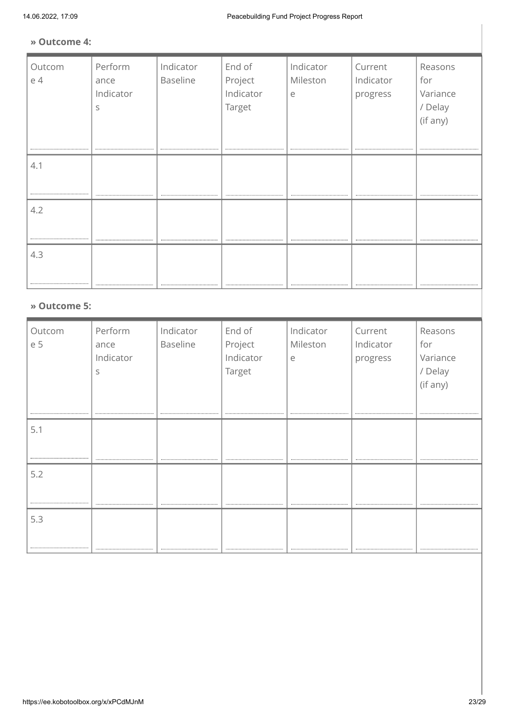#### **» Outcome 4:**

| Outcom | Perform      | Indicator       | End of    | Indicator | Current   | Reasons  |  |  |  |
|--------|--------------|-----------------|-----------|-----------|-----------|----------|--|--|--|
| e 4    | ance         | <b>Baseline</b> | Project   | Mileston  | Indicator | for      |  |  |  |
|        | Indicator    |                 | Indicator | e         | progress  | Variance |  |  |  |
|        | S            |                 | Target    |           |           | / Delay  |  |  |  |
|        |              |                 |           |           |           | (if any) |  |  |  |
|        |              |                 |           |           |           |          |  |  |  |
|        |              |                 |           |           |           |          |  |  |  |
| 4.1    |              |                 |           |           |           |          |  |  |  |
|        |              |                 |           |           |           |          |  |  |  |
|        |              |                 |           |           |           |          |  |  |  |
| 4.2    |              |                 |           |           |           |          |  |  |  |
|        |              |                 |           |           |           |          |  |  |  |
|        |              |                 |           |           |           |          |  |  |  |
| 4.3    |              |                 |           |           |           |          |  |  |  |
|        |              |                 |           |           |           |          |  |  |  |
|        |              |                 |           |           |           |          |  |  |  |
|        |              |                 |           |           |           |          |  |  |  |
|        | » Outcome 5: |                 |           |           |           |          |  |  |  |

#### **» Outcome 5:**

| Outcom<br>e 5 | Perform<br>ance<br>Indicator<br>S | Indicator<br><b>Baseline</b> | End of<br>Project<br>Indicator<br>Target | Indicator<br>Mileston<br>e | Current<br>Indicator<br>progress | Reasons<br>for<br>Variance<br>/ Delay<br>(if any) |
|---------------|-----------------------------------|------------------------------|------------------------------------------|----------------------------|----------------------------------|---------------------------------------------------|
| 5.1           |                                   |                              |                                          |                            |                                  |                                                   |
|               |                                   |                              |                                          |                            |                                  |                                                   |
| 5.2           |                                   |                              |                                          |                            |                                  |                                                   |
|               |                                   |                              |                                          |                            |                                  |                                                   |
| 5.3           |                                   |                              |                                          |                            |                                  |                                                   |
|               |                                   | ---------------------------  |                                          |                            | --------------------------       |                                                   |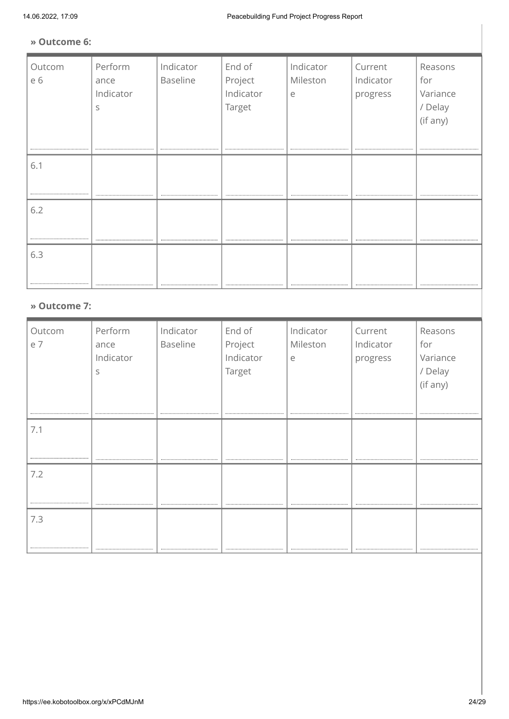#### **» Outcome 6:**

| Outcom<br>e 6 | Perform<br>ance<br>Indicator<br>S | Indicator<br>Baseline | End of<br>Project<br>Indicator<br>Target | Indicator<br>Mileston<br>e | Current<br>Indicator<br>progress | Reasons<br>for<br>Variance<br>/ Delay<br>(if any) |
|---------------|-----------------------------------|-----------------------|------------------------------------------|----------------------------|----------------------------------|---------------------------------------------------|
|               |                                   |                       |                                          |                            |                                  |                                                   |
| 6.1           |                                   |                       |                                          |                            |                                  |                                                   |
|               |                                   |                       |                                          |                            |                                  |                                                   |
| 6.2           |                                   |                       |                                          |                            |                                  |                                                   |
|               |                                   |                       |                                          |                            |                                  |                                                   |
|               |                                   |                       |                                          |                            |                                  |                                                   |
| 6.3           |                                   |                       |                                          |                            |                                  |                                                   |
|               |                                   |                       |                                          |                            |                                  |                                                   |
|               |                                   |                       |                                          |                            |                                  |                                                   |
| » Outcome 7:  |                                   |                       |                                          |                            |                                  |                                                   |

| Outcom<br>e 7 | Perform<br>ance<br>Indicator<br>S | Indicator<br><b>Baseline</b>  | End of<br>Project<br>Indicator<br>Target | Indicator<br>Mileston<br>e | Current<br>Indicator<br>progress | Reasons<br>for<br>Variance<br>/ Delay<br>(if any) |
|---------------|-----------------------------------|-------------------------------|------------------------------------------|----------------------------|----------------------------------|---------------------------------------------------|
| 7.1           |                                   |                               |                                          |                            |                                  |                                                   |
| 7.2           |                                   |                               |                                          |                            |                                  |                                                   |
| 7.3           |                                   | ----------------------------- |                                          |                            |                                  |                                                   |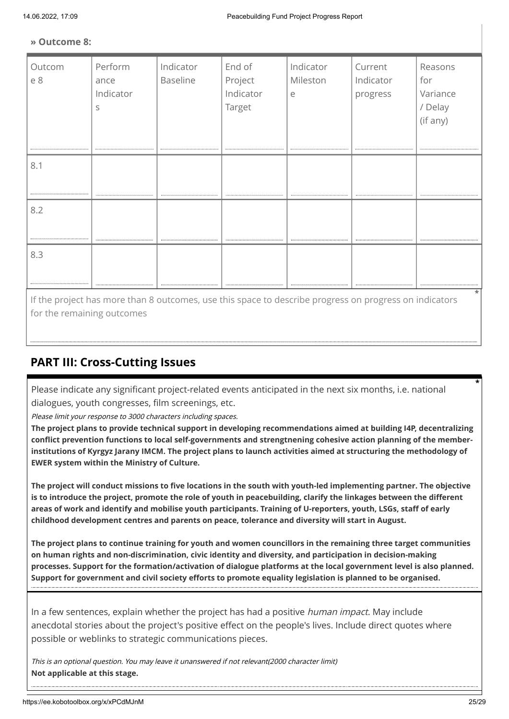#### **» Outcome 8:**

| Outcom<br>e 8 | Perform<br>ance<br>Indicator<br>S | Indicator<br>Baseline | End of<br>Project<br>Indicator<br>Target | Indicator<br>Mileston<br>e | Current<br>Indicator<br>progress | Reasons<br>for<br>Variance<br>/ Delay<br>(if any) |
|---------------|-----------------------------------|-----------------------|------------------------------------------|----------------------------|----------------------------------|---------------------------------------------------|
| 8.1           |                                   |                       |                                          |                            |                                  |                                                   |
| 8.2           |                                   |                       |                                          |                            |                                  |                                                   |
| 8.3           |                                   |                       |                                          |                            |                                  |                                                   |

If the project has more than 8 outcomes, use this space to describe progress on progress on indicators for the remaining outcomes

# **PART III: Cross-Cutting Issues**

Please indicate any significant project-related events anticipated in the next six months, i.e. national dialogues, youth congresses, film screenings, etc.

Please limit your response to 3000 characters including spaces.

**The project plans to provide technical support in developing recommendations aimed at building I4P, decentralizing conflict prevention functions to local self-governments and strengtnening cohesive action planning of the memberinstitutions of Kyrgyz Jarany IMCM. The project plans to launch activities aimed at structuring the methodology of EWER system within the Ministry of Culture.** 

**The project will conduct missions to five locations in the south with youth-led implementing partner. The objective is to introduce the project, promote the role of youth in peacebuilding, clarify the linkages between the different areas of work and identify and mobilise youth participants. Training of U-reporters, youth, LSGs, staff of early childhood development centres and parents on peace, tolerance and diversity will start in August.**

**The project plans to continue training for youth and women councillors in the remaining three target communities on human rights and non-discrimination, civic identity and diversity, and participation in decision-making processes. Support for the formation/activation of dialogue platforms at the local government level is also planned. Support for government and civil society efforts to promote equality legislation is planned to be organised.**

In a few sentences, explain whether the project has had a positive *human impact*. May include anecdotal stories about the project's positive effect on the people's lives. Include direct quotes where possible or weblinks to strategic communications pieces.

This is an optional question. You may leave it unanswered if not relevant(2000 character limit) **Not applicable at this stage.**

**\***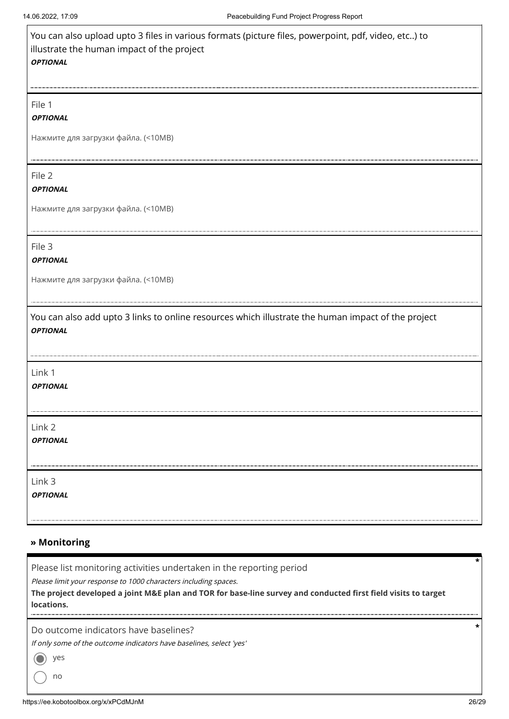| You can also upload upto 3 files in various formats (picture files, powerpoint, pdf, video, etc) to<br>illustrate the human impact of the project<br><b>OPTIONAL</b> |
|----------------------------------------------------------------------------------------------------------------------------------------------------------------------|
| File 1                                                                                                                                                               |
| <b>OPTIONAL</b>                                                                                                                                                      |
| Нажмите для загрузки файла. (<10МВ)                                                                                                                                  |
| File 2                                                                                                                                                               |
| <b>OPTIONAL</b>                                                                                                                                                      |
| Нажмите для загрузки файла. (<10МВ)                                                                                                                                  |
| File 3                                                                                                                                                               |
| <b>OPTIONAL</b>                                                                                                                                                      |
| Нажмите для загрузки файла. (<10МВ)                                                                                                                                  |
| You can also add upto 3 links to online resources which illustrate the human impact of the project<br><b>OPTIONAL</b>                                                |
| Link 1                                                                                                                                                               |
| <b>OPTIONAL</b>                                                                                                                                                      |
| Link 2                                                                                                                                                               |
| <b>OPTIONAL</b>                                                                                                                                                      |
| Link 3                                                                                                                                                               |
| <b>OPTIONAL</b>                                                                                                                                                      |

#### **» Monitoring**

**\*** Please list monitoring activities undertaken in the reporting period Please limit your response to 1000 characters including spaces. **The project developed a joint M&E plan and TOR for base-line survey and conducted first field visits to target locations. \***Do outcome indicators have baselines? If only some of the outcome indicators have baselines, select 'yes' yes C no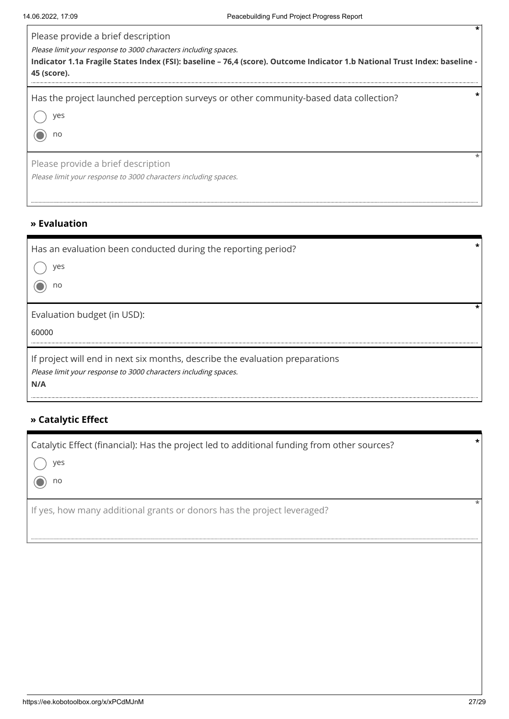| Please provide a brief description<br>Please limit your response to 3000 characters including spaces.<br>Indicator 1.1a Fragile States Index (FSI): baseline – 76,4 (score). Outcome Indicator 1.b National Trust Index: baseline -<br>45 (score). |
|----------------------------------------------------------------------------------------------------------------------------------------------------------------------------------------------------------------------------------------------------|
| $\star$<br>Has the project launched perception surveys or other community-based data collection?<br>ves<br>no                                                                                                                                      |
| Please provide a brief description<br>Please limit your response to 3000 characters including spaces.                                                                                                                                              |

### **» Evaluation**

| $\star$<br>Has an evaluation been conducted during the reporting period?<br>ves<br>no                                                                  |  |
|--------------------------------------------------------------------------------------------------------------------------------------------------------|--|
| Evaluation budget (in USD):<br>60000                                                                                                                   |  |
| If project will end in next six months, describe the evaluation preparations<br>Please limit your response to 3000 characters including spaces.<br>N/A |  |

# **» Catalytic Effect**

| Catalytic Effect (financial): Has the project led to additional funding from other sources? | $\star$ |
|---------------------------------------------------------------------------------------------|---------|
| ( ) yes                                                                                     |         |
| $\odot$ no                                                                                  |         |
| If yes, how many additional grants or donors has the project leveraged?                     |         |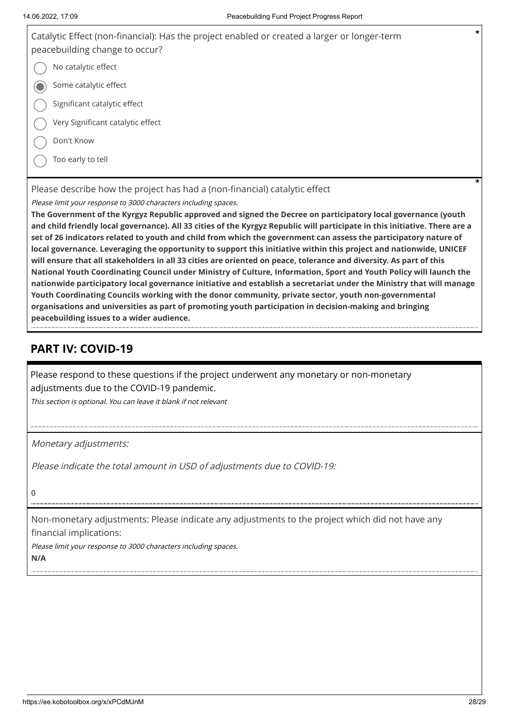| Catalytic Effect (non-financial): Has the project enabled or created a larger or longer-term<br>peacebuilding change to occur? | $\star$ |
|--------------------------------------------------------------------------------------------------------------------------------|---------|
| No catalytic effect                                                                                                            |         |
| Some catalytic effect                                                                                                          |         |
| Significant catalytic effect                                                                                                   |         |
| Very Significant catalytic effect                                                                                              |         |
| Don't Know                                                                                                                     |         |
| Too early to tell                                                                                                              |         |
| Please describe how the project has had a (non-financial) catalytic effect                                                     | *       |

Please limit your response to 3000 characters including spaces.

**The Government of the Kyrgyz Republic approved and signed the Decree on participatory local governance (youth and child friendly local governance). All 33 cities of the Kyrgyz Republic will participate in this initiative. There are a set of 26 indicators related to youth and child from which the government can assess the participatory nature of local governance. Leveraging the opportunity to support this initiative within this project and nationwide, UNICEF will ensure that all stakeholders in all 33 cities are oriented on peace, tolerance and diversity. As part of this National Youth Coordinating Council under Ministry of Culture, Information, Sport and Youth Policy will launch the nationwide participatory local governance initiative and establish a secretariat under the Ministry that will manage Youth Coordinating Councils working with the donor community, private sector, youth non-governmental organisations and universities as part of promoting youth participation in decision-making and bringing peacebuilding issues to a wider audience.**

# **PART IV: COVID-19**

Please respond to these questions if the project underwent any monetary or non-monetary adjustments due to the COVID-19 pandemic.

This section is optional. You can leave it blank if not relevant

Monetary adjustments:

Please indicate the total amount in USD of adjustments due to COVID-19:

 $\Omega$ 

Non-monetary adjustments: Please indicate any adjustments to the project which did not have any financial implications:

Please limit your response to 3000 characters including spaces. **N/A**